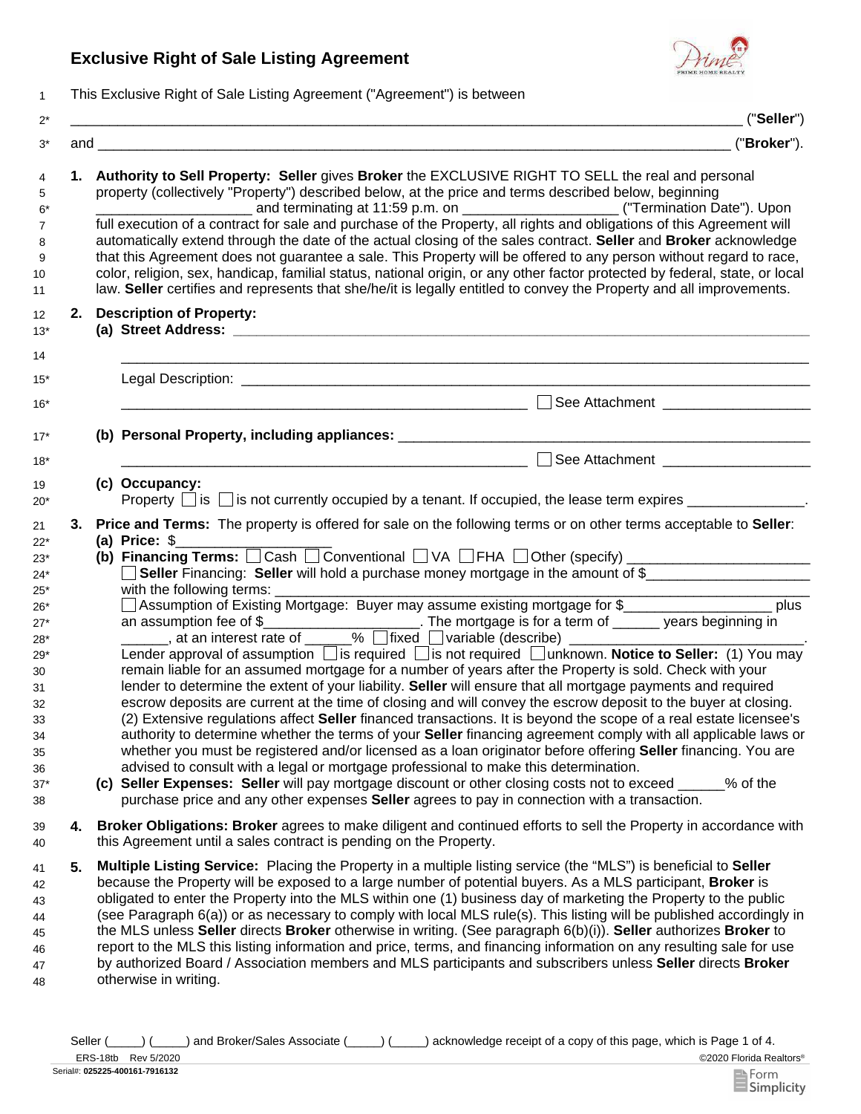## **Exclusive Right of Sale Listing Agreement**



1 This Exclusive Right of Sale Listing Agreement ("Agreement") is between

|    | ("Seller")                                                                                                                                                                                                                                                                                                                                                                                                                                                                                                                                                                                                                                                                                                                                                                                                                                                                                                                                                                                                                                                                                                                                                                                                                                                                                                                                                                                                                                                                                                                                                                                                                             |  |  |
|----|----------------------------------------------------------------------------------------------------------------------------------------------------------------------------------------------------------------------------------------------------------------------------------------------------------------------------------------------------------------------------------------------------------------------------------------------------------------------------------------------------------------------------------------------------------------------------------------------------------------------------------------------------------------------------------------------------------------------------------------------------------------------------------------------------------------------------------------------------------------------------------------------------------------------------------------------------------------------------------------------------------------------------------------------------------------------------------------------------------------------------------------------------------------------------------------------------------------------------------------------------------------------------------------------------------------------------------------------------------------------------------------------------------------------------------------------------------------------------------------------------------------------------------------------------------------------------------------------------------------------------------------|--|--|
|    | ("Broker").                                                                                                                                                                                                                                                                                                                                                                                                                                                                                                                                                                                                                                                                                                                                                                                                                                                                                                                                                                                                                                                                                                                                                                                                                                                                                                                                                                                                                                                                                                                                                                                                                            |  |  |
|    | 1. Authority to Sell Property: Seller gives Broker the EXCLUSIVE RIGHT TO SELL the real and personal<br>property (collectively "Property") described below, at the price and terms described below, beginning<br>full execution of a contract for sale and purchase of the Property, all rights and obligations of this Agreement will<br>automatically extend through the date of the actual closing of the sales contract. Seller and Broker acknowledge<br>that this Agreement does not guarantee a sale. This Property will be offered to any person without regard to race,<br>color, religion, sex, handicap, familial status, national origin, or any other factor protected by federal, state, or local<br>law. Seller certifies and represents that she/he/it is legally entitled to convey the Property and all improvements.                                                                                                                                                                                                                                                                                                                                                                                                                                                                                                                                                                                                                                                                                                                                                                                                |  |  |
|    | 2. Description of Property:                                                                                                                                                                                                                                                                                                                                                                                                                                                                                                                                                                                                                                                                                                                                                                                                                                                                                                                                                                                                                                                                                                                                                                                                                                                                                                                                                                                                                                                                                                                                                                                                            |  |  |
|    |                                                                                                                                                                                                                                                                                                                                                                                                                                                                                                                                                                                                                                                                                                                                                                                                                                                                                                                                                                                                                                                                                                                                                                                                                                                                                                                                                                                                                                                                                                                                                                                                                                        |  |  |
|    | $\Box$<br>See Attachment _____________________                                                                                                                                                                                                                                                                                                                                                                                                                                                                                                                                                                                                                                                                                                                                                                                                                                                                                                                                                                                                                                                                                                                                                                                                                                                                                                                                                                                                                                                                                                                                                                                         |  |  |
|    |                                                                                                                                                                                                                                                                                                                                                                                                                                                                                                                                                                                                                                                                                                                                                                                                                                                                                                                                                                                                                                                                                                                                                                                                                                                                                                                                                                                                                                                                                                                                                                                                                                        |  |  |
|    | See Attachment ____________________<br><u> 1980 - Jan James James Barnett, fransk politik (d. 1980)</u>                                                                                                                                                                                                                                                                                                                                                                                                                                                                                                                                                                                                                                                                                                                                                                                                                                                                                                                                                                                                                                                                                                                                                                                                                                                                                                                                                                                                                                                                                                                                |  |  |
|    | (c) Occupancy:<br>Property $\Box$ is $\Box$ is not currently occupied by a tenant. If occupied, the lease term expires $\Box$                                                                                                                                                                                                                                                                                                                                                                                                                                                                                                                                                                                                                                                                                                                                                                                                                                                                                                                                                                                                                                                                                                                                                                                                                                                                                                                                                                                                                                                                                                          |  |  |
| 3. | Price and Terms: The property is offered for sale on the following terms or on other terms acceptable to Seller:<br>(a) Price: $$$<br>(b) Financing Terms: $\Box$ Cash $\Box$ Conventional $\Box$ VA $\Box$ FHA $\Box$ Other (specify) $\Box$ $\Box$ $\Box$ $\Box$ $\Box$ $\Box$<br>Seller Financing: Seller will hold a purchase money mortgage in the amount of \$<br>□ Assumption of Existing Mortgage: Buyer may assume existing mortgage for \$______________________ plus<br>Lender approval of assumption <i>is</i> required <i>i</i> s not required <i>i</i> unknown. Notice to Seller: (1) You may<br>remain liable for an assumed mortgage for a number of years after the Property is sold. Check with your<br>lender to determine the extent of your liability. Seller will ensure that all mortgage payments and required<br>escrow deposits are current at the time of closing and will convey the escrow deposit to the buyer at closing.<br>(2) Extensive regulations affect Seller financed transactions. It is beyond the scope of a real estate licensee's<br>authority to determine whether the terms of your Seller financing agreement comply with all applicable laws or<br>whether you must be registered and/or licensed as a loan originator before offering <b>Seller</b> financing. You are<br>advised to consult with a legal or mortgage professional to make this determination.<br>(c) Seller Expenses: Seller will pay mortgage discount or other closing costs not to exceed ____<br>% of the<br>purchase price and any other expenses <b>Seller</b> agrees to pay in connection with a transaction. |  |  |
| 4. | Broker Obligations: Broker agrees to make diligent and continued efforts to sell the Property in accordance with<br>this Agreement until a sales contract is pending on the Property.                                                                                                                                                                                                                                                                                                                                                                                                                                                                                                                                                                                                                                                                                                                                                                                                                                                                                                                                                                                                                                                                                                                                                                                                                                                                                                                                                                                                                                                  |  |  |
| 5. | Multiple Listing Service: Placing the Property in a multiple listing service (the "MLS") is beneficial to Seller<br>because the Property will be exposed to a large number of potential buyers. As a MLS participant, <b>Broker</b> is<br>obligated to enter the Property into the MLS within one (1) business day of marketing the Property to the public<br>(see Paragraph 6(a)) or as necessary to comply with local MLS rule(s). This listing will be published accordingly in<br>the MLS unless Seller directs Broker otherwise in writing. (See paragraph 6(b)(i)). Seller authorizes Broker to<br>report to the MLS this listing information and price, terms, and financing information on any resulting sale for use<br>by authorized Board / Association members and MLS participants and subscribers unless Seller directs Broker<br>otherwise in writing.                                                                                                                                                                                                                                                                                                                                                                                                                                                                                                                                                                                                                                                                                                                                                                  |  |  |

©2020 Florida Realtors® ERS-18tb Rev 5/2020 Seller (\_\_\_\_) (\_\_\_\_) and Broker/Sales Associate (\_\_\_\_) (\_\_\_\_) acknowledge receipt of a copy of this page, which is Page 1 of 4.

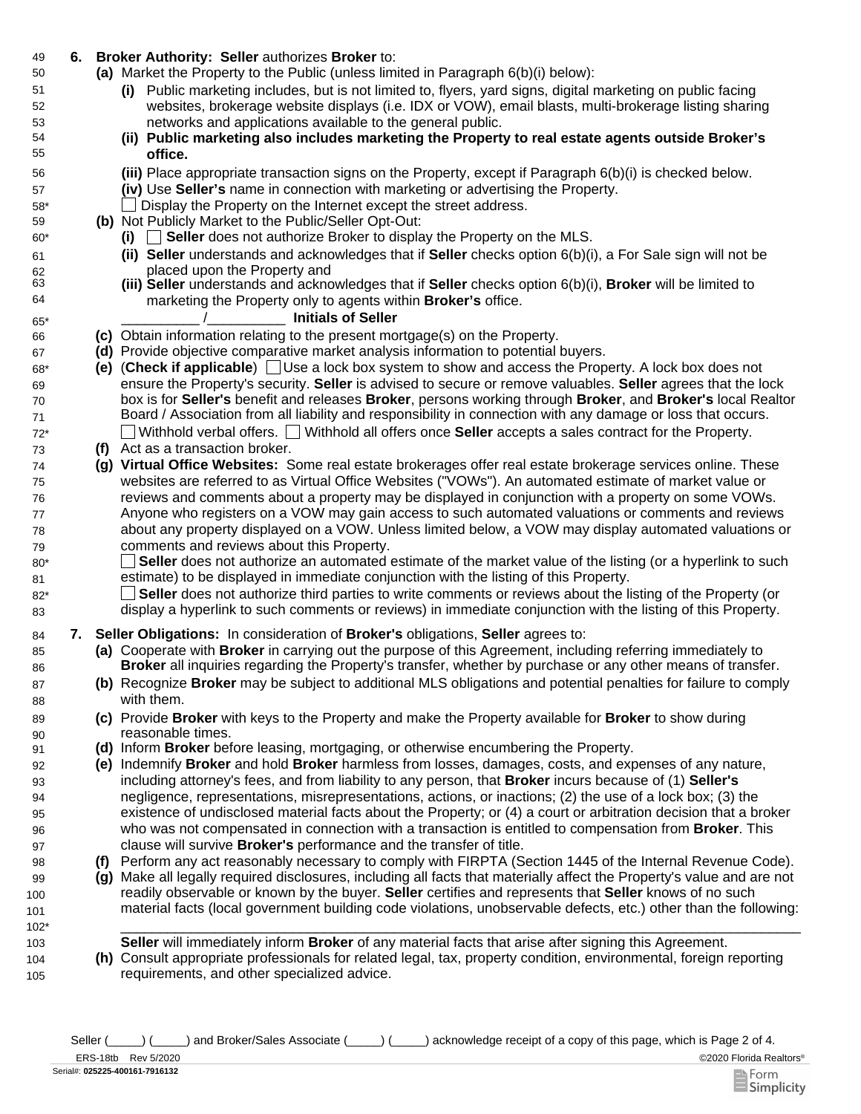## 49 **6. Broker Authority: Seller** authorizes **Broker** to:

- Market the Property to the Public (unless limited in Paragraph 6(b)(i) below): **(a)**
	- **(i)** Public marketing includes, but is not limited to, flyers, yard signs, digital marketing on public facing websites, brokerage website displays (i.e. IDX or VOW), email blasts, multi-brokerage listing sharing networks and applications available to the general public.
	- **(ii) Public marketing also includes marketing the Property to real estate agents outside Broker's office.**
	- Place appropriate transaction signs on the Property, except if Paragraph 6(b)(i) is checked below. **(iii)**
	- **(iv)** Use **Seller's** name in connection with marketing or advertising the Property.
	- \_\_ Display the Property on the Internet except the street address.
- **(b)** Not Publicly Market to the Public/Seller Opt-Out:
	- **(i)** \_\_ **Seller** does not authorize Broker to display the Property on the MLS.
	- **(ii) Seller** understands and acknowledges that if **Seller** checks option 6(b)(i), a For Sale sign will not be placed upon the Property and
	- **(iii) Seller** understands and acknowledges that if **Seller** checks option 6(b)(i), **Broker** will be limited to marketing the Property only to agents within **Broker's** office.

## \_\_\_\_\_\_\_\_\_\_ /\_\_\_\_\_\_\_\_\_\_ **Initials of Seller**

- 66 **(c)** Obtain information relating to the present mortgage(s) on the Property.
- 67 **(d)** Provide objective comparative market analysis information to potential buyers.
- 68\* **(e)** (**Check if applicable**) Use a lock box system to show and access the Property. A lock box does not ensure the Property's security. **Seller** is advised to secure or remove valuables. **Seller** agrees that the lock box is for **Seller's** benefit and releases **Broker**, persons working through **Broker**, and **Broker's** local Realtor Board / Association from all liability and responsibility in connection with any damage or loss that occurs. 72\* Withhold verbal offers. Withhold all offers once **Seller** accepts a sales contract for the Property.
- 73 **(f)** Act as a transaction broker.

69 70 71

50

51 52 53

80\* 81

85 86

87 88

89 90

99 100 101

104 105

- 74 **(g) Virtual Office Websites:** Some real estate brokerages offer real estate brokerage services online. These websites are referred to as Virtual Office Websites ("VOWs"). An automated estimate of market value or reviews and comments about a property may be displayed in conjunction with a property on some VOWs. Anyone who registers on a VOW may gain access to such automated valuations or comments and reviews about any property displayed on a VOW. Unless limited below, a VOW may display automated valuations or comments and reviews about this Property.
	- $\mathbf{L}$ **Seller** does not authorize an automated estimate of the market value of the listing (or a hyperlink to such estimate) to be displayed in immediate conjunction with the listing of this Property.
- **Seller** does not authorize third parties to write comments or reviews about the listing of the Property (or display a hyperlink to such comments or reviews) in immediate conjunction with the listing of this Property. 82\* 83
- 84 **7. Seller Obligations:** In consideration of **Broker's** obligations, **Seller** agrees to:
	- **(a)** Cooperate with **Broker** in carrying out the purpose of this Agreement, including referring immediately to **Broker** all inquiries regarding the Property's transfer, whether by purchase or any other means of transfer.
	- **(b)** Recognize **Broker** may be subject to additional MLS obligations and potential penalties for failure to comply with them.
	- **(c)** Provide **Broker** with keys to the Property and make the Property available for **Broker** to show during reasonable times.
- 91 **(d)** Inform **Broker** before leasing, mortgaging, or otherwise encumbering the Property.
	- **(e)** Indemnify **Broker** and hold **Broker** harmless from losses, damages, costs, and expenses of any nature, including attorney's fees, and from liability to any person, that **Broker** incurs because of (1) **Seller's**  negligence, representations, misrepresentations, actions, or inactions; (2) the use of a lock box; (3) the existence of undisclosed material facts about the Property; or (4) a court or arbitration decision that a broker who was not compensated in connection with a transaction is entitled to compensation from **Broker**. This clause will survive **Broker's** performance and the transfer of title.
- 98 **(f)** Perform any act reasonably necessary to comply with FIRPTA (Section 1445 of the Internal Revenue Code).
	- **(g)** Make all legally required disclosures, including all facts that materially affect the Property's value and are not readily observable or known by the buyer. **Seller** certifies and represents that **Seller** knows of no such material facts (local government building code violations, unobservable defects, etc.) other than the following:
- 102\* \_\_\_\_\_\_\_\_\_\_\_\_\_\_\_\_\_\_\_\_\_\_\_\_\_\_\_\_\_\_\_\_\_\_\_\_\_\_\_\_\_\_\_\_\_\_\_\_\_\_\_\_\_\_\_\_\_\_\_\_\_\_\_\_\_\_\_\_\_\_\_\_\_\_\_\_\_\_\_\_\_\_\_\_\_\_\_ 103 **Seller** will immediately inform **Broker** of any material facts that arise after signing this Agreement.
	- **(h)** Consult appropriate professionals for related legal, tax, property condition, environmental, foreign reporting requirements, and other specialized advice.

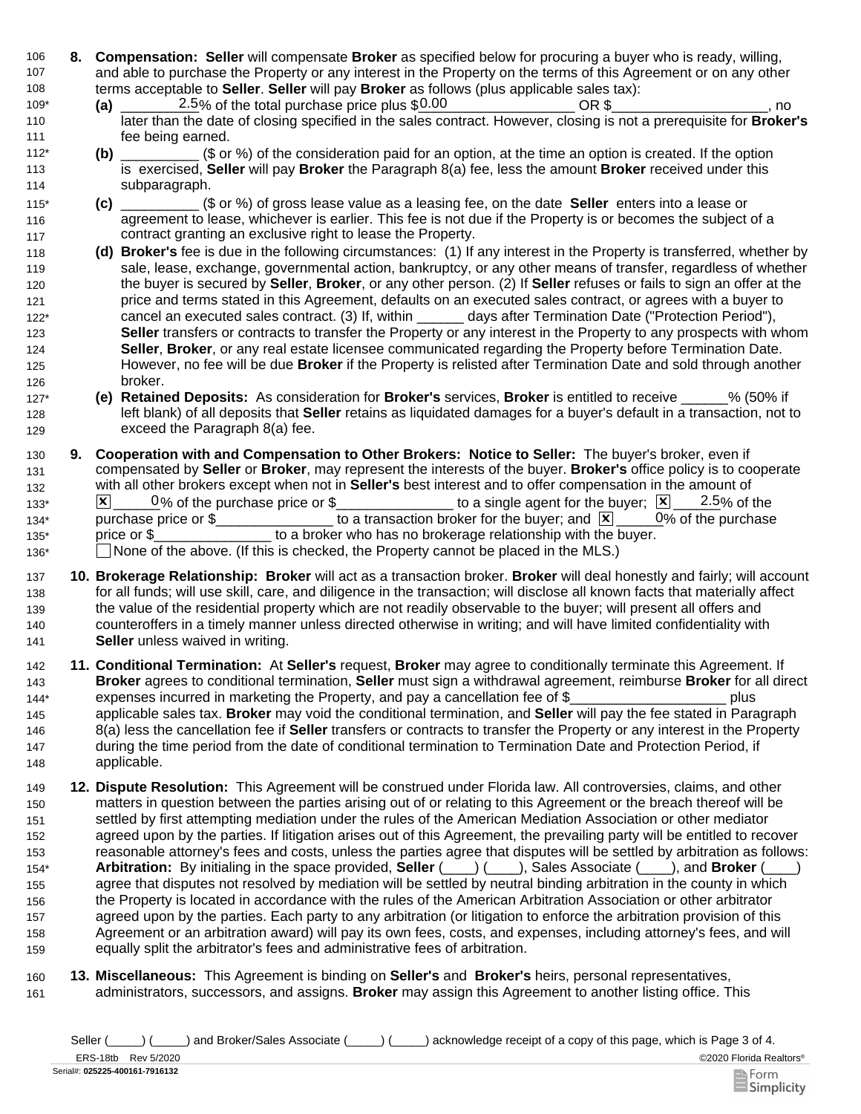- 106 **8. Compensation: Seller** will compensate **Broker** as specified below for procuring a buyer who is ready, willing, 107 108 and able to purchase the Property or any interest in the Property on the terms of this Agreement or on any other terms acceptable to **Seller**. **Seller** will pay **Broker** as follows (plus applicable sales tax):
- $\frac{2.5}{%}$  of the total purchase price plus  $$0.00$   $\degree$  OR \$ $\degree$  \_\_\_\_\_\_\_\_\_\_\_\_\_\_\_\_, no later than the date of closing specified in the sales contract. However, closing is not a prerequisite for **Broker's** fee being earned. 109\* **(a)**  110 111
- **(b)** \_\_\_\_\_\_\_\_\_\_ (\$ or %) of the consideration paid for an option, at the time an option is created. If the option is exercised, **Seller** will pay **Broker** the Paragraph 8(a) fee, less the amount **Broker** received under this subparagraph. 112\* 113 114
- **(c)** \_\_\_\_\_\_\_\_\_\_ (\$ or %) of gross lease value as a leasing fee, on the date **Seller** enters into a lease or agreement to lease, whichever is earlier. This fee is not due if the Property is or becomes the subject of a contract granting an exclusive right to lease the Property. 115\* 116 117
- 118 **(d) Broker's** fee is due in the following circumstances: (1) If any interest in the Property is transferred, whether by 119 120 121 122\* 123 124 125 126 sale, lease, exchange, governmental action, bankruptcy, or any other means of transfer, regardless of whether the buyer is secured by **Seller**, **Broker**, or any other person. (2) If **Seller** refuses or fails to sign an offer at the price and terms stated in this Agreement, defaults on an executed sales contract, or agrees with a buyer to cancel an executed sales contract. (3) If, within \_\_\_\_\_\_ days after Termination Date ("Protection Period"), **Seller** transfers or contracts to transfer the Property or any interest in the Property to any prospects with whom **Seller**, **Broker**, or any real estate licensee communicated regarding the Property before Termination Date. However, no fee will be due **Broker** if the Property is relisted after Termination Date and sold through another broker.
- 127\* **(e) Retained Deposits:** As consideration for **Broker's** services, **Broker** is entitled to receive \_\_\_\_\_\_% (50% if 128 129 left blank) of all deposits that **Seller** retains as liquidated damages for a buyer's default in a transaction, not to exceed the Paragraph 8(a) fee.
- 130 **9.**  131 132  $133^*$   $\times$   $\boxed{\times}$  0% of the purchase price or \$\_\_\_\_\_\_\_\_\_\_\_\_\_\_\_\_\_ to a single agent for the buyer;  $\boxed{\times}$   $\boxed{2.5}$ % of the 134\* purchase price or \$\_\_\_\_\_\_\_\_\_\_\_\_\_\_\_\_\_ to a transaction broker for the buyer; and  $\boxed{\mathbf{X}}$  \_\_\_\_\_0% of the purchase 135\* price or \$\_\_\_\_\_\_\_\_\_\_\_\_\_\_\_\_\_ to a broker who has no brokerage relationship with the buyer. 136\* 
None of the above. (If this is checked, the Property cannot be placed in the MLS.) **Cooperation with and Compensation to Other Brokers: Notice to Seller:** The buyer's broker, even if compensated by **Seller** or **Broker**, may represent the interests of the buyer. **Broker's** office policy is to cooperate with all other brokers except when not in **Seller's** best interest and to offer compensation in the amount of  $0\%$  of the purchase
- 137 **10. Brokerage Relationship: Broker** will act as a transaction broker. **Broker** will deal honestly and fairly; will account 138 139 140 141 for all funds; will use skill, care, and diligence in the transaction; will disclose all known facts that materially affect the value of the residential property which are not readily observable to the buyer; will present all offers and counteroffers in a timely manner unless directed otherwise in writing; and will have limited confidentiality with **Seller** unless waived in writing.
- 142 **11. Conditional Termination:** At **Seller's** request, **Broker** may agree to conditionally terminate this Agreement. If 143 144\* **Broker** agrees to conditional termination, **Seller** must sign a withdrawal agreement, reimburse **Broker** for all direct expenses incurred in marketing the Property, and pay a cancellation fee of \$ plus
- 145 146 147 148 applicable sales tax. **Broker** may void the conditional termination, and **Seller** will pay the fee stated in Paragraph 8(a) less the cancellation fee if **Seller** transfers or contracts to transfer the Property or any interest in the Property during the time period from the date of conditional termination to Termination Date and Protection Period, if applicable.
- 149 **12. Dispute Resolution:** This Agreement will be construed under Florida law. All controversies, claims, and other 150 151 152 153 154\* 155 156 157 158 159 matters in question between the parties arising out of or relating to this Agreement or the breach thereof will be settled by first attempting mediation under the rules of the American Mediation Association or other mediator agreed upon by the parties. If litigation arises out of this Agreement, the prevailing party will be entitled to recover reasonable attorney's fees and costs, unless the parties agree that disputes will be settled by arbitration as follows: **Arbitration:** By initialing in the space provided, **Seller** (\_\_\_\_) (\_\_\_\_), Sales Associate (\_\_\_\_), and **Broker** (\_\_\_\_) agree that disputes not resolved by mediation will be settled by neutral binding arbitration in the county in which the Property is located in accordance with the rules of the American Arbitration Association or other arbitrator agreed upon by the parties. Each party to any arbitration (or litigation to enforce the arbitration provision of this Agreement or an arbitration award) will pay its own fees, costs, and expenses, including attorney's fees, and will equally split the arbitrator's fees and administrative fees of arbitration.
- 161 160 **Miscellaneous:** This Agreement is binding on **Seller's** and **Broker's** heirs, personal representatives, **13.**administrators, successors, and assigns. **Broker** may assign this Agreement to another listing office. This